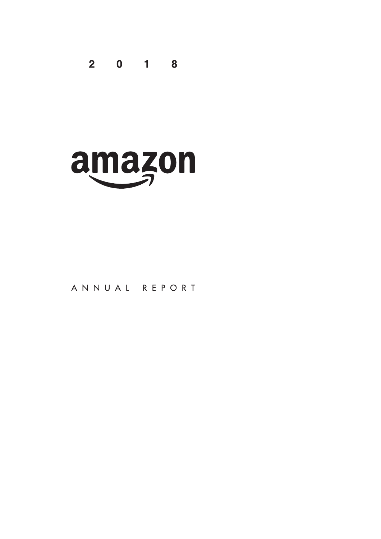### $2 \qquad 0 \qquad 1 \qquad 8$

# amazon

ANNUAL REPORT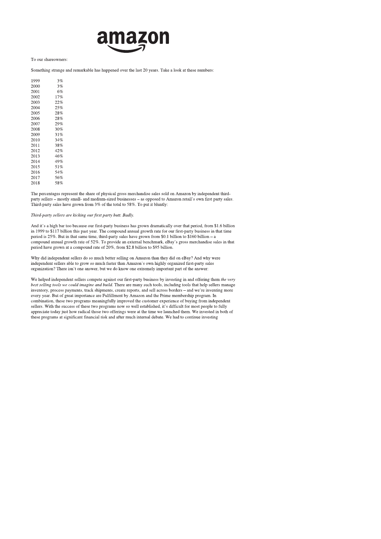

#### To our shareowners:

Something strange and remarkable has happened over the last 20 years. Take a look at these numbers:

| 1999 | 3%  |
|------|-----|
| 2000 | 3%  |
| 2001 | 6%  |
| 2002 | 17% |
| 2003 | 22% |
| 2004 | 25% |
| 2005 | 28% |
| 2006 | 28% |
| 2007 | 29% |
| 2008 | 30% |
| 2009 | 31% |
| 2010 | 34% |
| 2011 | 38% |
| 2012 | 42% |
| 2013 | 46% |
| 2014 | 49% |
| 2015 | 51% |
| 2016 | 54% |
| 2017 | 56% |
| 2018 | 58% |

The percentages represent the share of physical gross merchandise sales sold on Amazon by independent thirdnaty sellers – mostly small- and medium-sized businesses – as opposed to Amazon retail's own first party sales.<br>Third-party sales have grown from 3% of the total to 58%. To put it bluntly:

Third-party sellers are kicking our first party butt. Badly.

And it's a high bar too because our first-party business has grown dramatically over that period, from \$1.6 billion in 1999 to \$117 billion this past year. The compound annual growth rate for our first-party business in that time period is  $25\%$ . But in that same time, third-party sales have grown from \$0.1 billion to \$160 billion - a compound annual growth rate of 52%. To provide an external benchmark, eBay's gross merchandise sales in that period have grown at a compound rate of 20%, from \$2.8 billion to \$95 billion.

Why did independent sellers do so much better selling on Amazon than they did on eBay? And why were independent sellers able to grow so much faster than Amazon's own highly organized first-party sales organization? There isn't one answer, but we do know one extremely important part of the answer:

We helped independent sellers compete against our first-party business by investing in and offering them the very best selling tools we could imagine and build. There are many such tools, including tools that help sellers manage<br>inventory, process payments, track shipments, create reports, and sell across borders – and we're inventing every year. But of great importance are Fulfillment by Amazon and the Prime membership program. In combination, these two programs meaningfully improved the customer experience of buying from independent sellers. With the success of these two programs now so well established, it's difficult for most people to fully appreciate today just how radical those two offerings were at the time we launched them. We invested in both of these programs at significant financial risk and after much internal debate. We had to continue investing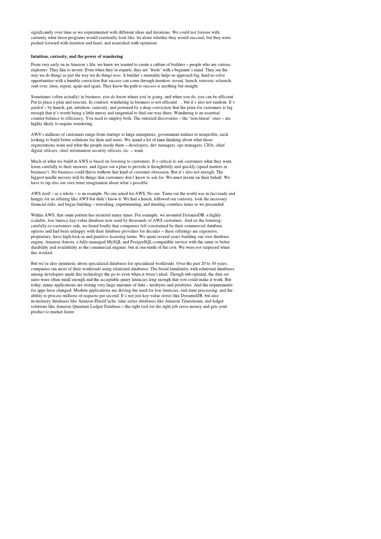significantly over time as we experimented with different ideas and iterations. We could not foresee with certainty what those programs would eventually look like, let alone whether they would succeed, but they were pushed forward with intuition and heart, and nourished with optimism.

#### Intuition, curiosity, and the power of wandering

From very early on in Amazon's life, we knew we wanted to create a culture of builders - people who are curious, explorers. They like to invent. Even when they're experts, they are "fresh" with a beginner's mind. They see the way we do things as just the way we do things now. A builder's mentality helps us approach big, hard-to-solve opportunities with a humble conviction that success can come through iteration: invent, launch, reinvent, relaunch, start over, rinse, repeat, again and again. They know the path to success is anything but straight.

Sometimes (often actually) in business, you do know where you're going, and when you do, you can be efficient. Put in place a plan and execute. In contrast, wandering in business is not efficient ... but it's also not random. It's guided - by hunch, gut, intuition, curiosity, and powered by a deep conviction that the prize for customers is big enough that it's worth being a little messy and tangential to find our way there. Wandering is an essential counter-balance to efficiency. You need to employ both. The outsized discoveries - the "non-linear" ones - are highly likely to require wandering.

AWS's millions of customers range from startups to large enterprises, government entities to nonprofits, each looking to build better solutions for their end users. We spend a lot of time thinking about what those organizations want and what the people inside them – developers, dev managers, ops managers, CIOs, chief digital officers, chief information security officers, etc. - want.

Much of what we build at AWS is based on listening to customers. It's critical to ask customers what they want, listen carefully to their answers, and figure out a plan to provide it thoughtfully and quickly (speed matters in business!). No business could thrive without that kind of customer obsession. But it's also not enough. The biggest needle movers will be things that customers don't know to ask for. We must invent on their behalf. We have to tap into our own inner imagination about what's possible.

AWS itself – as a whole – is an example. No one asked for AWS. No one. Turns out the world was in fact ready and hungry for an offering like AWS but didn't know it. We had a hunch, followed our curiosity, took the necessary financial risks, and began building - reworking, experimenting, and iterating countless times as we proceeded.

Within AWS, that same pattern has recurred many times. For example, we invented DynamoDB, a highly scalable, low latency key-value database now used by thousands of AWS customers. And on the listeningcarefully-to-customers side, we heard loudly that companies felt constrained by their commercial database options and had been unhappy with their database providers for decades - these offerings are expensive, proprietary, have high-lock-in and punitive licensing terms. We spent several years building our own database engine, Amazon Aurora, a fully-managed MySQL and PostgreSQL-compatible service with the same or better durability and availability as the commercial engines, but at one-tenth of the cost. We were not surprised when this worked.

But we're also optimistic about specialized databases for specialized workloads. Over the past 20 to 30 years, companies ran most of their workloads using relational databases. The broad familiarity with relational databases among developers made this technology the go-to even when it wasn't ideal. Though sub-optimal, the data set sizes were often small enough and the acceptable query latencies long enough that you could make it work. But today, many applications are storing very large amounts of data - terabytes and petabytes. And the requirements for apps have changed. Modern applications are driving the need for low latencies, real-time processing, and the ability to process millions of requests per second. It's not just key-value stores like DynamoDB, but also in-memory databases like Amazon ElastiCache, time series databases like Amazon Timestream, and ledger solutions like Amazon Quantum Ledger Database - the right tool for the right job saves money and gets your product to market faster.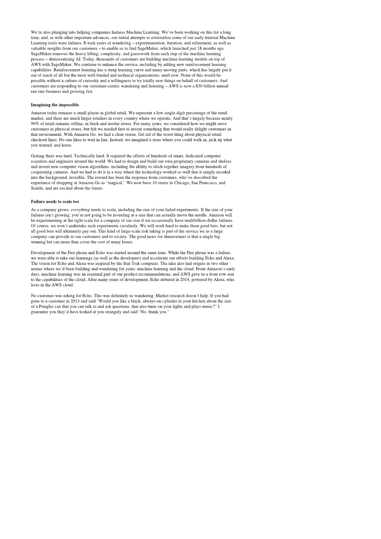We're also plunging into helping companies harness Machine Learning. We've been working on this for a long time, and, as with other important advances, our initial attempts to externalize some of our early internal Machine Learning tools were failures. It took years of wandering - experimentation, iteration, and refinement, as well as valuable insights from our customers - to enable us to find SageMaker, which launched just 18 months ago. SageMaker removes the heavy lifting, complexity, and guesswork from each step of the machine learning process - democratizing AI. Today, thousands of customers are building machine learning models on top of AWS with SageMaker. We continue to enhance the service, including by adding new reinforcement learning capabilities. Reinforcement learning has a steep learning curve and many moving parts, which has largely put it out of reach of all but the most well-funded and technical organizations, until now. None of this would be possible without a culture of curiosity and a willingness to try totally new things on behalf of customers. And customers are responding to our customer-centric wandering and listening - AWS is now a \$30 billion annual run rate business and growing fast.

#### Imagining the impossible

Amazon today remains a small player in global retail. We represent a low single-digit percentage of the retail market, and there are much larger retailers in every country where we operate. And that's largely because nearly 90% of retail remains offline, in brick and mortar stores. For many years, we considered how we might serve customers in physical stores, but felt we needed first to invent something that would really delight customers in that environment. With Amazon Go, we had a clear vision. Get rid of the worst thing about physical retail: checkout lines. No one likes to wait in line. Instead, we imagined a store where you could walk in, pick up what you wanted, and leave.

Getting there was hard. Technically hard. It required the efforts of hundreds of smart, dedicated computer scientists and engineers around the world. We had to design and build our own proprietary cameras and shelves and invent new computer vision algorithms, including the ability to stitch together imagery from hundreds of cooperating cameras. And we had to do it in a way where the technology worked so well that it simply receded into the background, invisible. The reward has been the response from customers, who've described the experience of shopping at Amazon Go as "magical." We now have 10 stores in Chicago, San Francisco, and Seattle, and are excited about the future.

#### Failure needs to scale too

As a company grows, everything needs to scale, including the size of your failed experiments. If the size of your failures isn't growing, you're not going to be inventing at a size that can actually move the needle. Amazon will be experimenting at the right scale for a company of our size if we occasionally have multibillion-dollar failures. Of course, we won't undertake such experiments cavalierly. We will work hard to make them good bets, but not all good bets will ultimately pay out. This kind of large-scale risk taking is part of the service we as a large company can provide to our customers and to society. The good news for shareowners is that a single big winning bet can more than cover the cost of many losers.

Development of the Fire phone and Echo was started around the same time. While the Fire phone was a failure, we were able to take our learnings (as well as the developers) and accelerate our efforts building Echo and Alexa. The vision for Echo and Alexa was inspired by the Star Trek computer. The idea also had origins in two other arenas where we'd been building and wandering for years: machine learning and the cloud. From Amazon's early days, machine learning was an essential part of our product recommendations, and AWS gave us a front row seat to the capabilities of the cloud. After many years of development, Echo debuted in 2014, powered by Alexa, who lives in the AWS cloud.

No customer was asking for Echo. This was definitely us wandering. Market research doesn't help. If you had gone to a customer in 2013 and said "Would you like a black, always-on cylinder in your kitchen about the size of a Pringles can that you can talk to and ask questions, that also turns on your lights and plays music?" I guarantee you they'd have looked at you strangely and said "No, thank you."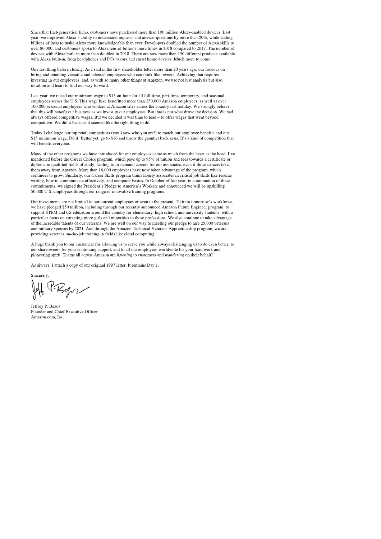Since that first-generation Echo, customers have purchased more than 100 million Alexa-enabled devices. Last year, we improved Alexa's ability to understand requests and answer questions by more than 20%, while adding billions of facts to make Alexa more knowledgeable than ever. Developers doubled the number of Alexa skills to over 80,000, and customers spoke to Alexa tens of billions more times in 2018 compared to 2017. The number of devices with Alexa built-in more than doubled in 2018. There are now more than 150 different products available with Alexa built-in, from headphones and PCs to cars and smart home devices. Much more to come!

One last thing before closing. As I said in the first shareholder letter more than 20 years ago, our focus is on hiring and retaining versatile and talented employees who can think like owners. Achieving that requires investing in our employees, and, as with so many other things at Amazon, we use not just analysis but also intuition and heart to find our way forward.

Last year, we raised our minimum wage to \$15-an-hour for all full-time, part-time, temporary, and seasonal employees across the U.S. This wage hike benefitted more than 250,000 Amazon employees, as well as over 100,000 seasonal employees who worked at Amazon sites across the country last holiday. We strongly believe that this will benefit our business as we invest in our employees. But that is not what drove the decision. We had always offered competitive wages. But we decided it was time to lead  $-$  to offer wages that went beyond competitive. We did it because it seemed like the right thing to do.

Today I challenge our top retail competitors (you know who you are!) to match our employee benefits and our \$15 minimum wage. Do it! Better yet, go to \$16 and throw the gauntlet back at us. It's a kind of competition that will benefit everyone

Many of the other programs we have introduced for our employees came as much from the heart as the head. I've mentioned before the Career Choice program, which pays up to 95% of tuition and fees towards a certificate or diploma in qualified fields of study, leading to in-demand careers for our associates, even if those careers take them away from Amazon. More than 16,000 employees have now taken advantage of the program, which continues to grow. Similarly, our Career Skills program trains hourly associates in critical job skills like resume writing, how to communicate effectively, and computer basics. In October of last year, in continuation of these commitments, we signed the President's Pledge to America's Workers and announced we will be upskilling 50,000 U.S. employees through our range of innovative training programs.

Our investments are not limited to our current employees or even to the present. To train tomorrow's workforce, we have pledged \$50 million, including through our recently announced Amazon Future Engineer program, to support STEM and CS education around the country for elementary, high school, and university students, with a particular focus on attracting more girls and minorities to these professions. We also continue to take advantage of the incredible talents of our veterans. We are well on our way to meeting our pledge to hire 25,000 veterans and military spouses by 2021. And through the Amazon Technical Veterans Apprenticeship program, we are providing veterans on-the-job training in fields like cloud computing.

A huge thank you to our customers for allowing us to serve you while always challenging us to do even better, to our shareowners for your continuing support, and to all our employees worldwide for your hard work and pioneering spirit. Teams all across Amazon are listening to customers and wandering on their behalf!

As always, I attach a copy of our original 1997 letter. It remains Day 1.

Sincerely,

Jeff PRogres

Jeffrey P. Bezos Founder and Chief Executive Officer Amazon.com, Inc.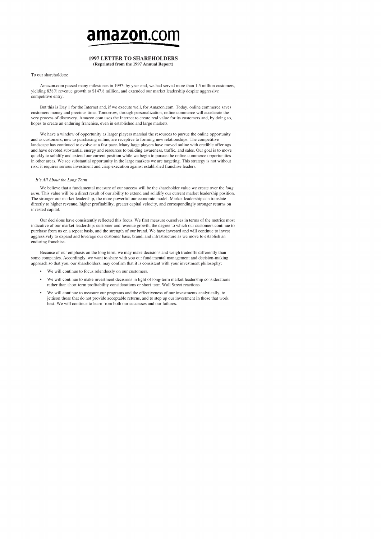## amazon.com

#### **1997 LETTER TO SHAREHOLDERS** (Reprinted from the 1997 Annual Report)

#### To our shareholders:

Amazon.com passed many milestones in 1997: by year-end, we had served more than 1.5 million customers, yielding 838% revenue growth to \$147.8 million, and extended our market leadership despite aggressive competitive entry.

But this is Day 1 for the Internet and, if we execute well, for Amazon.com. Today, online commerce saves customers money and precious time. Tomorrow, through personalization, online commerce will accelerate the very process of discovery. Amazon.com uses the Internet to create real value for its customers and, by doing so, hopes to create an enduring franchise, even in established and large markets.

We have a window of opportunity as larger players marshal the resources to pursue the online opportunity and as customers, new to purchasing online, are receptive to forming new relationships. The competitive landscape has continued to evolve at a fast pace. Many large players have moved online with credible offerings and have devoted substantial energy and resources to building awareness, traffic, and sales. Our goal is to move quickly to solidify and extend our current position while we begin to pursue the online commerce opportunities in other areas. We see substantial opportunity in the large markets we are targeting. This strategy is not without risk: it requires serious investment and crisp execution against established franchise leaders.

#### It's All About the Long Term

We believe that a fundamental measure of our success will be the shareholder value we create over the long term. This value will be a direct result of our ability to extend and solidify our current market leadership position. The stronger our market leadership, the more powerful our economic model. Market leadership can translate directly to higher revenue, higher profitability, greater capital velocity, and correspondingly stronger returns on invested capital.

Our decisions have consistently reflected this focus. We first measure ourselves in terms of the metrics most indicative of our market leadership: customer and revenue growth, the degree to which our customers continue to purchase from us on a repeat basis, and the strength of our brand. We have invested and will continue to invest aggressively to expand and leverage our customer base, brand, and infrastructure as we move to establish an enduring franchise.

Because of our emphasis on the long term, we may make decisions and weigh tradeoffs differently than some companies. Accordingly, we want to share with you our fundamental management and decision-making approach so that you, our shareholders, may confirm that it is consistent with your investment philosophy:

- We will continue to focus relentlessly on our customers.
- We will continue to make investment decisions in light of long-term market leadership considerations rather than short-term profitability considerations or short-term Wall Street reactions.
- We will continue to measure our programs and the effectiveness of our investments analytically, to jettison those that do not provide acceptable returns, and to step up our investment in those that work best. We will continue to learn from both our successes and our failures.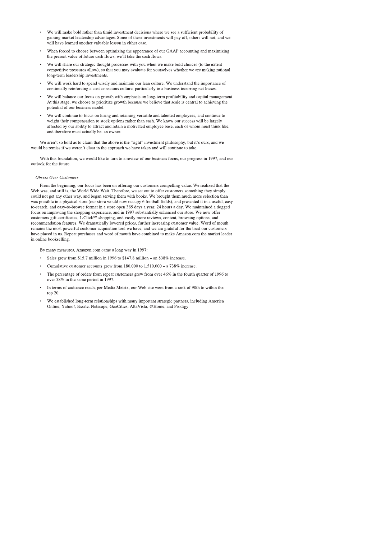- We will make bold rather than timid investment decisions where we see a sufficient probability of gaining market leadership advantages. Some of these investments will pay off, others will not, and we will have learned another valuable lesson in either case.
- When forced to choose between optimizing the appearance of our GAAP accounting and maximizing the present value of future cash flows, we'll take the cash flows.
- We will share our strategic thought processes with you when we make bold choices (to the extent competitive pressures allow), so that you may evaluate for yourselves whether we are making rational long-term leadership investments.
- We will work hard to spend wisely and maintain our lean culture. We understand the importance of continually reinforcing a cost-conscious culture, particularly in a business incurring net losses.
- We will balance our focus on growth with emphasis on long-term profitability and capital management. At this stage, we choose to prioritize growth because we believe that scale is central to achieving the potential of our business model.
- We will continue to focus on hiring and retaining versatile and talented employees, and continue to weight their compensation to stock options rather than cash. We know our success will be largely affected by our ability to attract and retain a motivated employee base, each of whom must think like, and therefore must actually be, an owner.

We aren't so bold as to claim that the above is the "right" investment philosophy, but it's ours, and we would be remiss if we weren't clear in the approach we have taken and will continue to take.

With this foundation, we would like to turn to a review of our business focus, our progress in 1997, and our outlook for the future.

#### **Obsess Over Customers**

From the beginning, our focus has been on offering our customers compelling value. We realized that the Web was, and still is, the World Wide Wait. Therefore, we set out to offer customers something they simply could not get any other way, and began serving them with books. We brought them much more selection than was possible in a physical store (our store would now occupy 6 football fields), and presented it in a useful, easyto-search, and easy-to-browse format in a store open 365 days a year, 24 hours a day. We maintained a dogged focus on improving the shopping experience, and in 1997 substantially enhanced our store. We now offer customers gift certificates, 1-Click<sup>sM</sup> shopping, and vastly more reviews, content, browsing options, and recommendation features. We dramatically lowered prices, further increasing customer value. Word of mouth remains the most powerful customer acquisition tool we have, and we are grateful for the trust our customers have placed in us. Repeat purchases and word of mouth have combined to make Amazon.com the market leader in online bookselling.

By many measures, Amazon.com came a long way in 1997:

- Sales grew from \$15.7 million in 1996 to \$147.8 million an  $838\%$  increase.
- Cumulative customer accounts grew from 180,000 to  $1,510,000 a 738\%$  increase.
- The percentage of orders from repeat customers grew from over 46% in the fourth quarter of 1996 to over 58% in the same period in 1997.
- In terms of audience reach, per Media Metrix, our Web site went from a rank of 90th to within the top 20.
- We established long-term relationships with many important strategic partners, including America Online, Yahoo!, Excite, Netscape, GeoCities, AltaVista, @Home, and Prodigy.